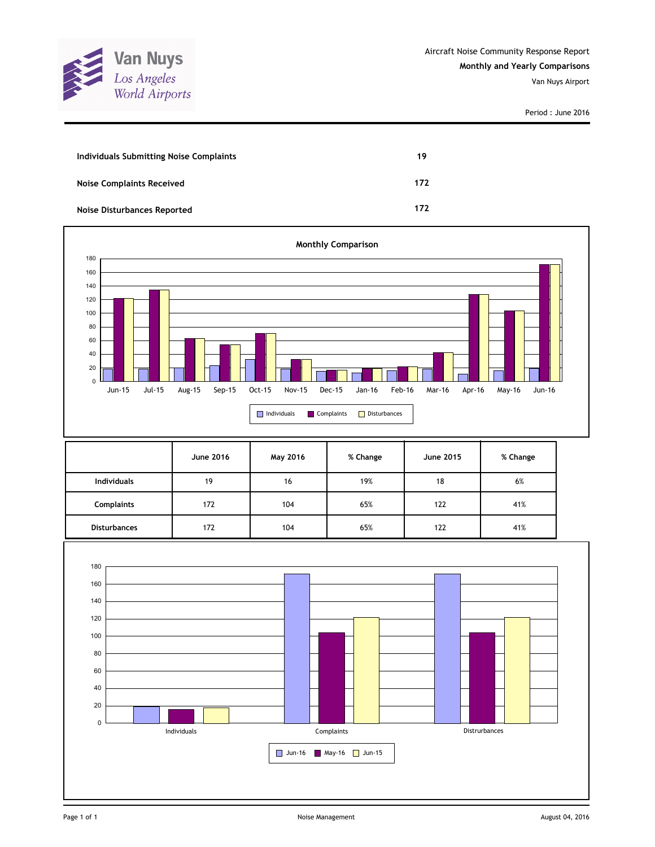

| Individuals Submitting Noise Complaints | 19  |
|-----------------------------------------|-----|
| <b>Noise Complaints Received</b>        | 172 |
| Noise Disturbances Reported             | 172 |



|                     | <b>June 2016</b> | May 2016 | % Change | <b>June 2015</b> | % Change |
|---------------------|------------------|----------|----------|------------------|----------|
| <b>Individuals</b>  | 19               | 16       | 19%      | 18               | 6%       |
| <b>Complaints</b>   | 172              | 104      | 65%      | 122              | 41%      |
| <b>Disturbances</b> | 172              | 104      | 65%      | 122              | 41%      |

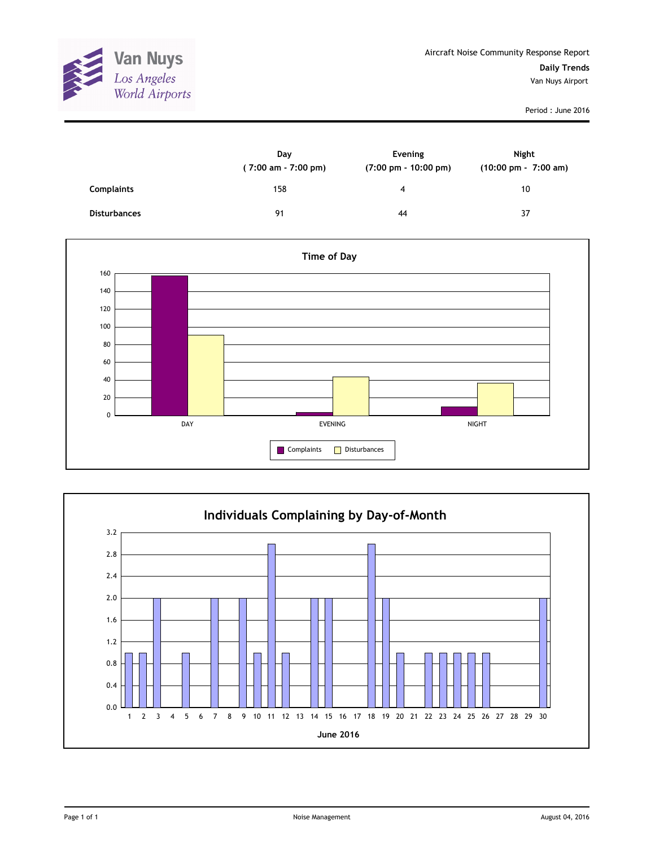

|                     | Day<br>$(7:00 \text{ am} - 7:00 \text{ pm})$ | Evening<br>$(7:00 \text{ pm} - 10:00 \text{ pm})$ | Night<br>(10:00 pm - 7:00 am) |
|---------------------|----------------------------------------------|---------------------------------------------------|-------------------------------|
| <b>Complaints</b>   | 158                                          | 4                                                 | 10                            |
| <b>Disturbances</b> | 91                                           | 44                                                | 37                            |



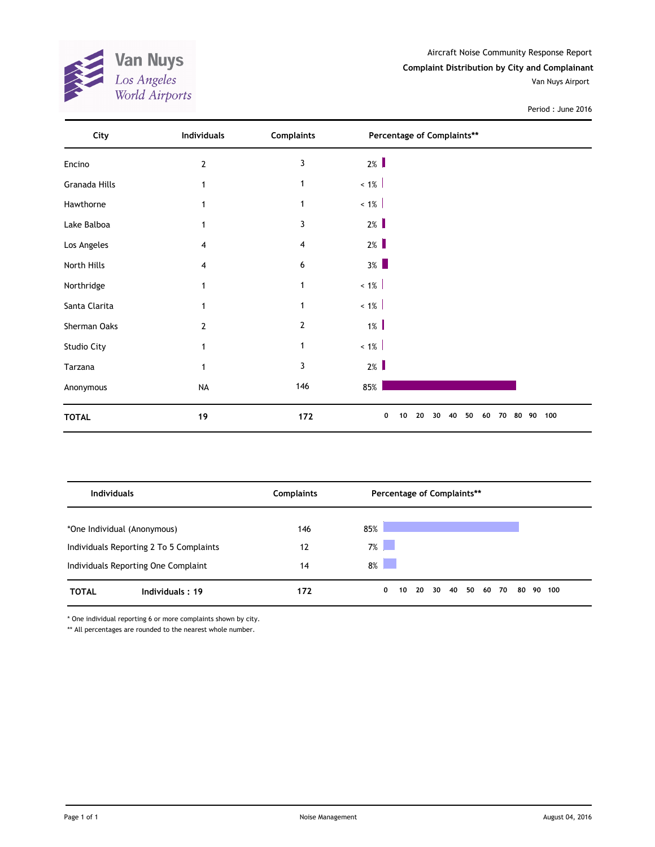**Van Nuys**<br>Los Angeles<br>World Airports 

Aircraft Noise Community Response Report **Complaint Distribution by City and Complainant** Van Nuys Airport

|  | Period: June 2016 |
|--|-------------------|
|--|-------------------|

| City          | <b>Individuals</b> | <b>Complaints</b> | Percentage of Complaints**                              |     |
|---------------|--------------------|-------------------|---------------------------------------------------------|-----|
| Encino        | $\mathbf{2}$       | 3                 | $2\%$                                                   |     |
| Granada Hills | 1                  | 1                 | $< 1\%$                                                 |     |
| Hawthorne     | 1                  | 1                 | $< 1\%$                                                 |     |
| Lake Balboa   | $\mathbf{1}$       | 3                 | $2\%$                                                   |     |
| Los Angeles   | 4                  | 4                 | $2\%$                                                   |     |
| North Hills   | 4                  | 6                 | $3\%$                                                   |     |
| Northridge    | $\mathbf{1}$       | 1                 | $~1\%$                                                  |     |
| Santa Clarita | 1                  | 1                 | $~1\%$                                                  |     |
| Sherman Oaks  | 2                  | $\overline{2}$    | $1\%$                                                   |     |
| Studio City   | 1                  | $\mathbf{1}$      | $~1\%$                                                  |     |
| Tarzana       | 1                  | 3                 | $2\%$                                                   |     |
| Anonymous     | <b>NA</b>          | 146               | 85%                                                     |     |
| <b>TOTAL</b>  | 19                 | 172               | 0<br>30<br>50<br>80<br>90<br>10<br>20<br>40<br>60<br>70 | 100 |

| <b>Individuals</b>          |                                         | <b>Complaints</b> | Percentage of Complaints** |             |    |    |  |                |  |  |           |  |
|-----------------------------|-----------------------------------------|-------------------|----------------------------|-------------|----|----|--|----------------|--|--|-----------|--|
| *One Individual (Anonymous) |                                         | 146               | 85%                        |             |    |    |  |                |  |  |           |  |
|                             | Individuals Reporting 2 To 5 Complaints | 12                | $7\%$                      |             |    |    |  |                |  |  |           |  |
|                             | Individuals Reporting One Complaint     | 14                | 8%                         |             |    |    |  |                |  |  |           |  |
| <b>TOTAL</b>                | Individuals: 19                         | 172               |                            | $\mathbf 0$ | 10 | 20 |  | 30 40 50 60 70 |  |  | 80 90 100 |  |

\* One individual reporting 6 or more complaints shown by city.

\*\* All percentages are rounded to the nearest whole number.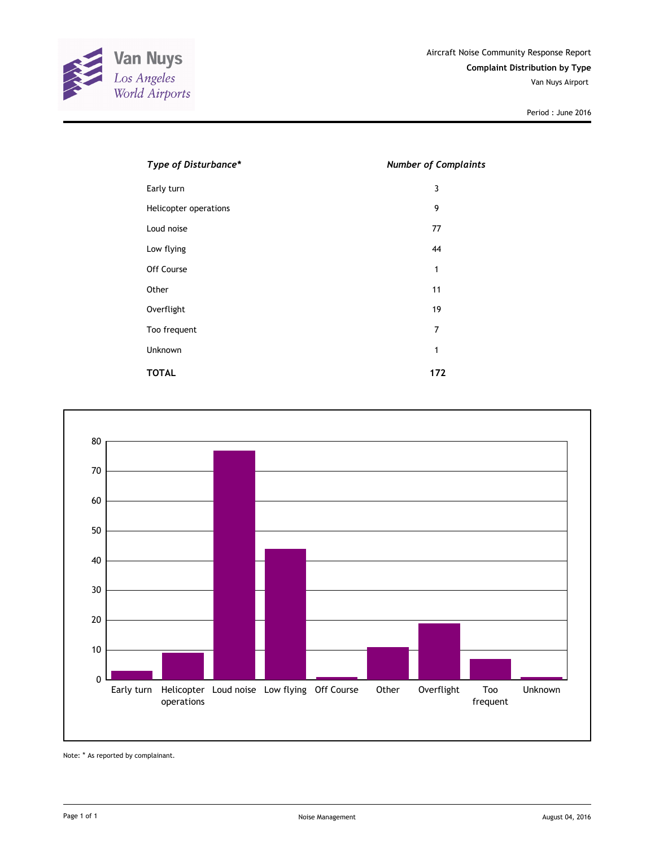

| Type of Disturbance*  | <b>Number of Complaints</b> |
|-----------------------|-----------------------------|
| Early turn            | 3                           |
| Helicopter operations | 9                           |
| Loud noise            | 77                          |
| Low flying            | 44                          |
| Off Course            | 1                           |
| Other                 | 11                          |
| Overflight            | 19                          |
| Too frequent          | 7                           |
| Unknown               | 1                           |
| <b>TOTAL</b>          | 172                         |



Note: \* As reported by complainant.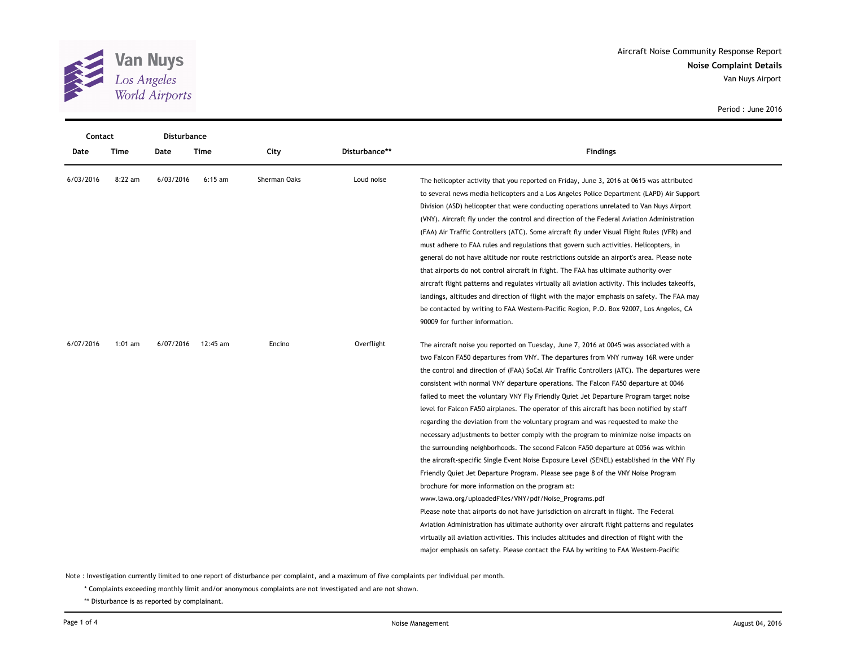

| Contact   |           | <b>Disturbance</b> |           |              |               |                                                                                                 |
|-----------|-----------|--------------------|-----------|--------------|---------------|-------------------------------------------------------------------------------------------------|
| Date      | Time      | Date               | Time      | City         | Disturbance** | <b>Findings</b>                                                                                 |
| 6/03/2016 | $8:22$ am | 6/03/2016          | $6:15$ am | Sherman Oaks | Loud noise    | The helicopter activity that you reported on Friday, June 3, 2016 at 0615 was attributed        |
|           |           |                    |           |              |               | to several news media helicopters and a Los Angeles Police Department (LAPD) Air Support        |
|           |           |                    |           |              |               | Division (ASD) helicopter that were conducting operations unrelated to Van Nuys Airport         |
|           |           |                    |           |              |               | (VNY). Aircraft fly under the control and direction of the Federal Aviation Administration      |
|           |           |                    |           |              |               | (FAA) Air Traffic Controllers (ATC). Some aircraft fly under Visual Flight Rules (VFR) and      |
|           |           |                    |           |              |               | must adhere to FAA rules and regulations that govern such activities. Helicopters, in           |
|           |           |                    |           |              |               | general do not have altitude nor route restrictions outside an airport's area. Please note      |
|           |           |                    |           |              |               | that airports do not control aircraft in flight. The FAA has ultimate authority over            |
|           |           |                    |           |              |               | aircraft flight patterns and regulates virtually all aviation activity. This includes takeoffs, |
|           |           |                    |           |              |               | landings, altitudes and direction of flight with the major emphasis on safety. The FAA may      |
|           |           |                    |           |              |               | be contacted by writing to FAA Western-Pacific Region, P.O. Box 92007, Los Angeles, CA          |
|           |           |                    |           |              |               | 90009 for further information.                                                                  |
| 6/07/2016 | 1:01 $am$ | 6/07/2016          | 12:45 am  | Encino       | Overflight    | The aircraft noise you reported on Tuesday, June 7, 2016 at 0045 was associated with a          |
|           |           |                    |           |              |               | two Falcon FA50 departures from VNY. The departures from VNY runway 16R were under              |
|           |           |                    |           |              |               | the control and direction of (FAA) SoCal Air Traffic Controllers (ATC). The departures were     |
|           |           |                    |           |              |               | consistent with normal VNY departure operations. The Falcon FA50 departure at 0046              |
|           |           |                    |           |              |               | failed to meet the voluntary VNY Fly Friendly Quiet Jet Departure Program target noise          |
|           |           |                    |           |              |               | level for Falcon FA50 airplanes. The operator of this aircraft has been notified by staff       |
|           |           |                    |           |              |               | regarding the deviation from the voluntary program and was requested to make the                |
|           |           |                    |           |              |               | necessary adjustments to better comply with the program to minimize noise impacts on            |
|           |           |                    |           |              |               | the surrounding neighborhoods. The second Falcon FA50 departure at 0056 was within              |
|           |           |                    |           |              |               | the aircraft-specific Single Event Noise Exposure Level (SENEL) established in the VNY Fly      |
|           |           |                    |           |              |               | Friendly Quiet Jet Departure Program. Please see page 8 of the VNY Noise Program                |
|           |           |                    |           |              |               | brochure for more information on the program at:                                                |
|           |           |                    |           |              |               | www.lawa.org/uploadedFiles/VNY/pdf/Noise_Programs.pdf                                           |
|           |           |                    |           |              |               | Please note that airports do not have jurisdiction on aircraft in flight. The Federal           |
|           |           |                    |           |              |               | Aviation Administration has ultimate authority over aircraft flight patterns and regulates      |
|           |           |                    |           |              |               | virtually all aviation activities. This includes altitudes and direction of flight with the     |
|           |           |                    |           |              |               | major emphasis on safety. Please contact the FAA by writing to FAA Western-Pacific              |

Note : Investigation currently limited to one report of disturbance per complaint, and a maximum of five complaints per individual per month.

\* Complaints exceeding monthly limit and/or anonymous complaints are not investigated and are not shown.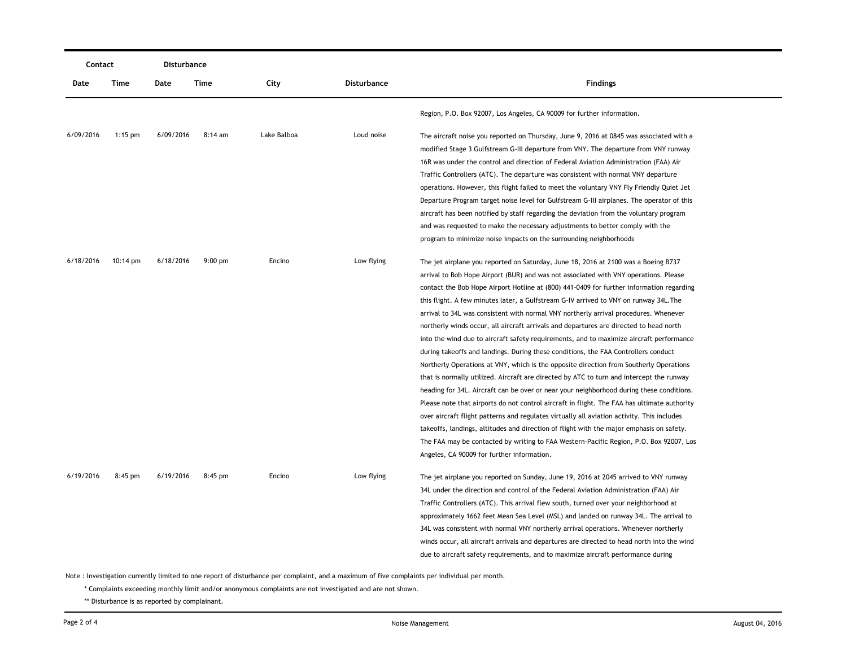| Contact   |                    | Disturbance |           |             |                    |                                                                                             |
|-----------|--------------------|-------------|-----------|-------------|--------------------|---------------------------------------------------------------------------------------------|
| Date      | Time               | Date        | Time      | City        | <b>Disturbance</b> | <b>Findings</b>                                                                             |
|           |                    |             |           |             |                    | Region, P.O. Box 92007, Los Angeles, CA 90009 for further information.                      |
| 6/09/2016 | $1:15$ pm          | 6/09/2016   | 8:14 am   | Lake Balboa | Loud noise         | The aircraft noise you reported on Thursday, June 9, 2016 at 0845 was associated with a     |
|           |                    |             |           |             |                    | modified Stage 3 Gulfstream G-III departure from VNY. The departure from VNY runway         |
|           |                    |             |           |             |                    | 16R was under the control and direction of Federal Aviation Administration (FAA) Air        |
|           |                    |             |           |             |                    | Traffic Controllers (ATC). The departure was consistent with normal VNY departure           |
|           |                    |             |           |             |                    | operations. However, this flight failed to meet the voluntary VNY Fly Friendly Quiet Jet    |
|           |                    |             |           |             |                    | Departure Program target noise level for Gulfstream G-III airplanes. The operator of this   |
|           |                    |             |           |             |                    | aircraft has been notified by staff regarding the deviation from the voluntary program      |
|           |                    |             |           |             |                    | and was requested to make the necessary adjustments to better comply with the               |
|           |                    |             |           |             |                    | program to minimize noise impacts on the surrounding neighborhoods                          |
| 6/18/2016 | $10:14 \text{ pm}$ | 6/18/2016   | $9:00$ pm | Encino      | Low flying         | The jet airplane you reported on Saturday, June 18, 2016 at 2100 was a Boeing B737          |
|           |                    |             |           |             |                    | arrival to Bob Hope Airport (BUR) and was not associated with VNY operations. Please        |
|           |                    |             |           |             |                    | contact the Bob Hope Airport Hotline at (800) 441-0409 for further information regarding    |
|           |                    |             |           |             |                    | this flight. A few minutes later, a Gulfstream G-IV arrived to VNY on runway 34L. The       |
|           |                    |             |           |             |                    | arrival to 34L was consistent with normal VNY northerly arrival procedures. Whenever        |
|           |                    |             |           |             |                    | northerly winds occur, all aircraft arrivals and departures are directed to head north      |
|           |                    |             |           |             |                    | into the wind due to aircraft safety requirements, and to maximize aircraft performance     |
|           |                    |             |           |             |                    | during takeoffs and landings. During these conditions, the FAA Controllers conduct          |
|           |                    |             |           |             |                    | Northerly Operations at VNY, which is the opposite direction from Southerly Operations      |
|           |                    |             |           |             |                    | that is normally utilized. Aircraft are directed by ATC to turn and intercept the runway    |
|           |                    |             |           |             |                    | heading for 34L. Aircraft can be over or near your neighborhood during these conditions.    |
|           |                    |             |           |             |                    | Please note that airports do not control aircraft in flight. The FAA has ultimate authority |
|           |                    |             |           |             |                    | over aircraft flight patterns and regulates virtually all aviation activity. This includes  |
|           |                    |             |           |             |                    | takeoffs, landings, altitudes and direction of flight with the major emphasis on safety.    |
|           |                    |             |           |             |                    | The FAA may be contacted by writing to FAA Western-Pacific Region, P.O. Box 92007, Los      |
|           |                    |             |           |             |                    | Angeles, CA 90009 for further information.                                                  |
| 6/19/2016 | 8:45 pm            | 6/19/2016   | $8:45$ pm | Encino      | Low flying         | The jet airplane you reported on Sunday, June 19, 2016 at 2045 arrived to VNY runway        |
|           |                    |             |           |             |                    | 34L under the direction and control of the Federal Aviation Administration (FAA) Air        |
|           |                    |             |           |             |                    | Traffic Controllers (ATC). This arrival flew south, turned over your neighborhood at        |
|           |                    |             |           |             |                    | approximately 1662 feet Mean Sea Level (MSL) and landed on runway 34L. The arrival to       |
|           |                    |             |           |             |                    | 34L was consistent with normal VNY northerly arrival operations. Whenever northerly         |
|           |                    |             |           |             |                    | winds occur, all aircraft arrivals and departures are directed to head north into the wind  |
|           |                    |             |           |             |                    | due to aircraft safety requirements, and to maximize aircraft performance during            |

Note : Investigation currently limited to one report of disturbance per complaint, and a maximum of five complaints per individual per month.

\* Complaints exceeding monthly limit and/or anonymous complaints are not investigated and are not shown.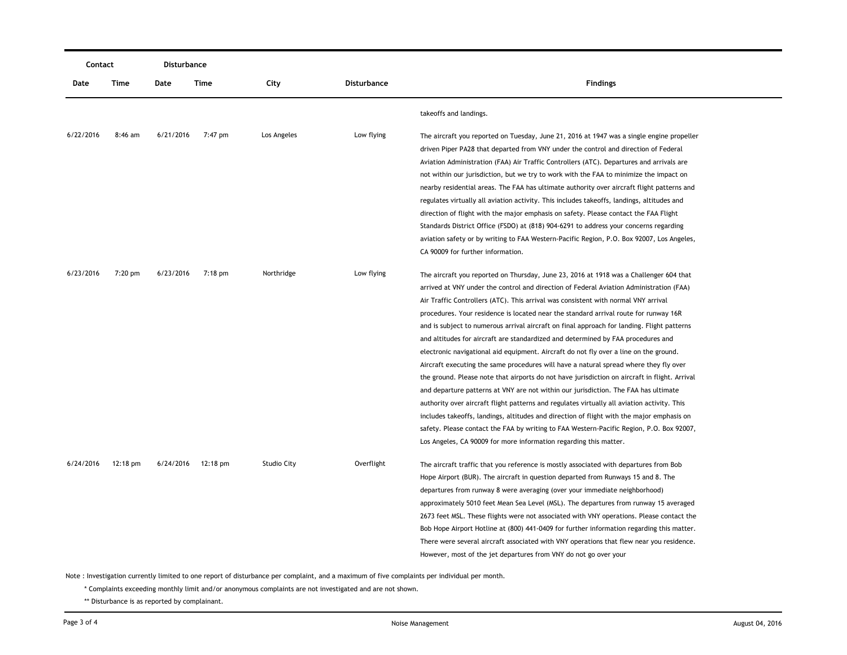| Contact   |                    | Disturbance |                    |                    |                    |                                                                                                                                                                                                                                                                                                                                                                                                                                                                                                                                                                                                                                                                                                                                                                                                                                                                                                                                                                                                                                                                                                                                                                                                                                                                                          |  |  |
|-----------|--------------------|-------------|--------------------|--------------------|--------------------|------------------------------------------------------------------------------------------------------------------------------------------------------------------------------------------------------------------------------------------------------------------------------------------------------------------------------------------------------------------------------------------------------------------------------------------------------------------------------------------------------------------------------------------------------------------------------------------------------------------------------------------------------------------------------------------------------------------------------------------------------------------------------------------------------------------------------------------------------------------------------------------------------------------------------------------------------------------------------------------------------------------------------------------------------------------------------------------------------------------------------------------------------------------------------------------------------------------------------------------------------------------------------------------|--|--|
| Date      | Time               | Date        | Time               | City               | <b>Disturbance</b> | <b>Findings</b>                                                                                                                                                                                                                                                                                                                                                                                                                                                                                                                                                                                                                                                                                                                                                                                                                                                                                                                                                                                                                                                                                                                                                                                                                                                                          |  |  |
|           |                    |             |                    |                    |                    | takeoffs and landings.                                                                                                                                                                                                                                                                                                                                                                                                                                                                                                                                                                                                                                                                                                                                                                                                                                                                                                                                                                                                                                                                                                                                                                                                                                                                   |  |  |
| 6/22/2016 | $8:46$ am          | 6/21/2016   | 7:47 pm            | Los Angeles        | Low flying         | The aircraft you reported on Tuesday, June 21, 2016 at 1947 was a single engine propeller<br>driven Piper PA28 that departed from VNY under the control and direction of Federal<br>Aviation Administration (FAA) Air Traffic Controllers (ATC). Departures and arrivals are<br>not within our jurisdiction, but we try to work with the FAA to minimize the impact on<br>nearby residential areas. The FAA has ultimate authority over aircraft flight patterns and<br>regulates virtually all aviation activity. This includes takeoffs, landings, altitudes and<br>direction of flight with the major emphasis on safety. Please contact the FAA Flight<br>Standards District Office (FSDO) at (818) 904-6291 to address your concerns regarding<br>aviation safety or by writing to FAA Western-Pacific Region, P.O. Box 92007, Los Angeles,<br>CA 90009 for further information.                                                                                                                                                                                                                                                                                                                                                                                                    |  |  |
| 6/23/2016 | $7:20$ pm          | 6/23/2016   | 7:18 pm            | Northridge         | Low flying         | The aircraft you reported on Thursday, June 23, 2016 at 1918 was a Challenger 604 that<br>arrived at VNY under the control and direction of Federal Aviation Administration (FAA)<br>Air Traffic Controllers (ATC). This arrival was consistent with normal VNY arrival<br>procedures. Your residence is located near the standard arrival route for runway 16R<br>and is subject to numerous arrival aircraft on final approach for landing. Flight patterns<br>and altitudes for aircraft are standardized and determined by FAA procedures and<br>electronic navigational aid equipment. Aircraft do not fly over a line on the ground.<br>Aircraft executing the same procedures will have a natural spread where they fly over<br>the ground. Please note that airports do not have jurisdiction on aircraft in flight. Arrival<br>and departure patterns at VNY are not within our jurisdiction. The FAA has ultimate<br>authority over aircraft flight patterns and regulates virtually all aviation activity. This<br>includes takeoffs, landings, altitudes and direction of flight with the major emphasis on<br>safety. Please contact the FAA by writing to FAA Western-Pacific Region, P.O. Box 92007,<br>Los Angeles, CA 90009 for more information regarding this matter. |  |  |
| 6/24/2016 | $12:18 \text{ pm}$ |             | 6/24/2016 12:18 pm | <b>Studio City</b> | Overflight         | The aircraft traffic that you reference is mostly associated with departures from Bob<br>Hope Airport (BUR). The aircraft in question departed from Runways 15 and 8. The<br>departures from runway 8 were averaging (over your immediate neighborhood)<br>approximately 5010 feet Mean Sea Level (MSL). The departures from runway 15 averaged<br>2673 feet MSL. These flights were not associated with VNY operations. Please contact the<br>Bob Hope Airport Hotline at (800) 441-0409 for further information regarding this matter.<br>There were several aircraft associated with VNY operations that flew near you residence.<br>However, most of the jet departures from VNY do not go over your                                                                                                                                                                                                                                                                                                                                                                                                                                                                                                                                                                                 |  |  |

Note : Investigation currently limited to one report of disturbance per complaint, and a maximum of five complaints per individual per month.

\* Complaints exceeding monthly limit and/or anonymous complaints are not investigated and are not shown.